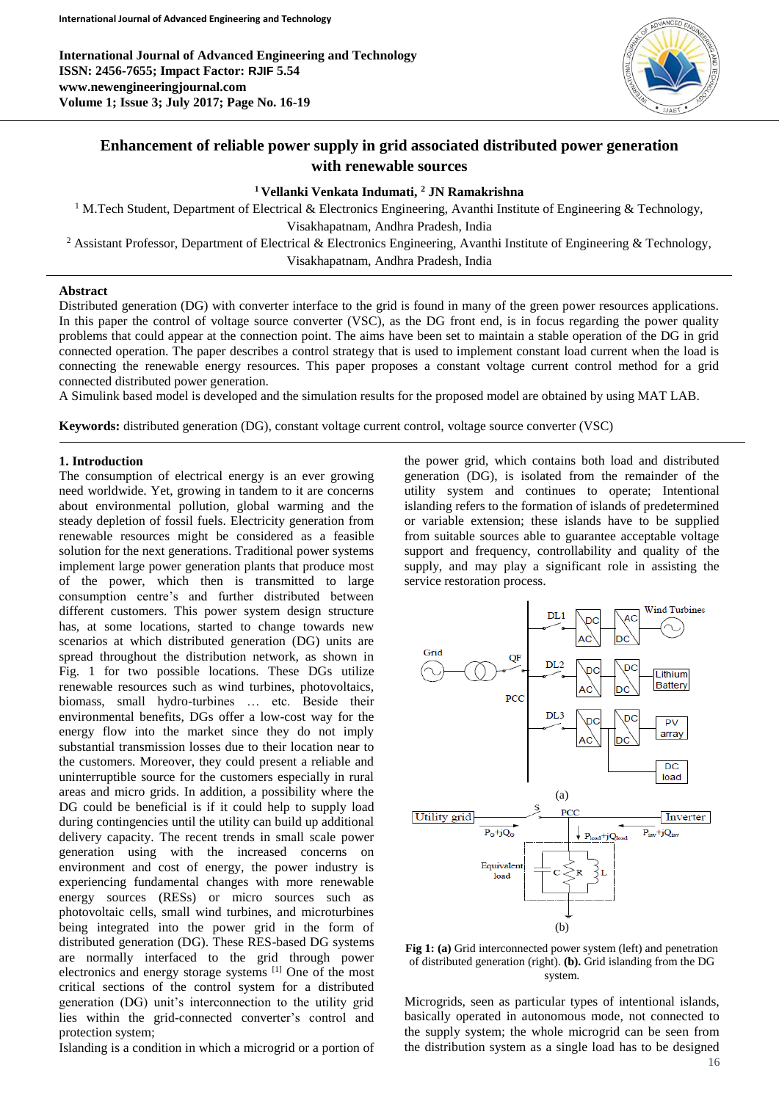

# **Enhancement of reliable power supply in grid associated distributed power generation with renewable sources**

# **<sup>1</sup>Vellanki Venkata Indumati, <sup>2</sup> JN Ramakrishna**

<sup>1</sup> M.Tech Student, Department of Electrical & Electronics Engineering, Avanthi Institute of Engineering & Technology, Visakhapatnam, Andhra Pradesh, India

<sup>2</sup> Assistant Professor, Department of Electrical & Electronics Engineering, Avanthi Institute of Engineering & Technology, Visakhapatnam, Andhra Pradesh, India

# **Abstract**

Distributed generation (DG) with converter interface to the grid is found in many of the green power resources applications. In this paper the control of voltage source converter (VSC), as the DG front end, is in focus regarding the power quality problems that could appear at the connection point. The aims have been set to maintain a stable operation of the DG in grid connected operation. The paper describes a control strategy that is used to implement constant load current when the load is connecting the renewable energy resources. This paper proposes a constant voltage current control method for a grid connected distributed power generation.

A Simulink based model is developed and the simulation results for the proposed model are obtained by using MAT LAB.

**Keywords:** distributed generation (DG), constant voltage current control, voltage source converter (VSC)

# **1. Introduction**

The consumption of electrical energy is an ever growing need worldwide. Yet, growing in tandem to it are concerns about environmental pollution, global warming and the steady depletion of fossil fuels. Electricity generation from renewable resources might be considered as a feasible solution for the next generations. Traditional power systems implement large power generation plants that produce most of the power, which then is transmitted to large consumption centre's and further distributed between different customers. This power system design structure has, at some locations, started to change towards new scenarios at which distributed generation (DG) units are spread throughout the distribution network, as shown in Fig. 1 for two possible locations. These DGs utilize renewable resources such as wind turbines, photovoltaics, biomass, small hydro-turbines … etc. Beside their environmental benefits, DGs offer a low-cost way for the energy flow into the market since they do not imply substantial transmission losses due to their location near to the customers. Moreover, they could present a reliable and uninterruptible source for the customers especially in rural areas and micro grids. In addition, a possibility where the DG could be beneficial is if it could help to supply load during contingencies until the utility can build up additional delivery capacity. The recent trends in small scale power generation using with the increased concerns on environment and cost of energy, the power industry is experiencing fundamental changes with more renewable energy sources (RESs) or micro sources such as photovoltaic cells, small wind turbines, and microturbines being integrated into the power grid in the form of distributed generation (DG). These RES-based DG systems are normally interfaced to the grid through power electronics and energy storage systems [1] One of the most critical sections of the control system for a distributed generation (DG) unit's interconnection to the utility grid lies within the grid-connected converter's control and protection system;

Islanding is a condition in which a microgrid or a portion of

the power grid, which contains both load and distributed generation (DG), is isolated from the remainder of the utility system and continues to operate; Intentional islanding refers to the formation of islands of predetermined or variable extension; these islands have to be supplied from suitable sources able to guarantee acceptable voltage support and frequency, controllability and quality of the supply, and may play a significant role in assisting the service restoration process.



**Fig 1: (a)** Grid interconnected power system (left) and penetration of distributed generation (right). **(b).** Grid islanding from the DG system.

Microgrids, seen as particular types of intentional islands, basically operated in autonomous mode, not connected to the supply system; the whole microgrid can be seen from the distribution system as a single load has to be designed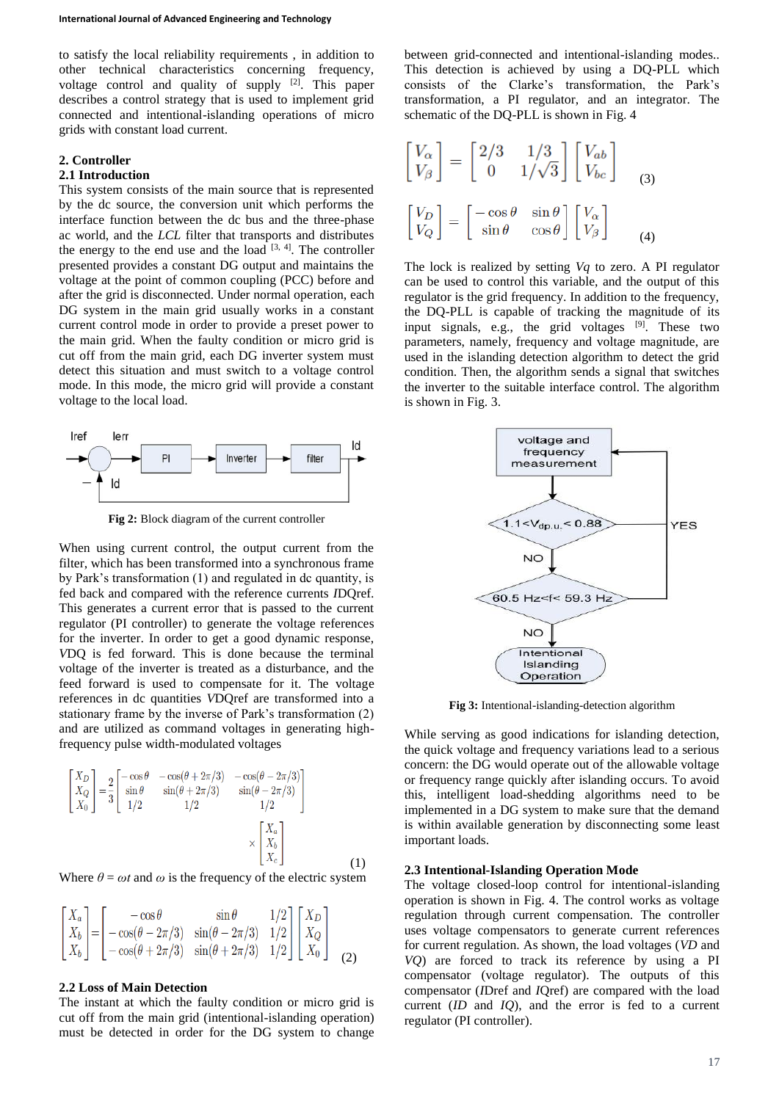to satisfy the local reliability requirements , in addition to other technical characteristics concerning frequency, voltage control and quality of supply [2]. This paper describes a control strategy that is used to implement grid connected and intentional-islanding operations of micro grids with constant load current.

# **2. Controller**

#### **2.1 Introduction**

This system consists of the main source that is represented by the dc source, the conversion unit which performs the interface function between the dc bus and the three-phase ac world, and the *LCL* filter that transports and distributes the energy to the end use and the load  $[3, 4]$ . The controller presented provides a constant DG output and maintains the voltage at the point of common coupling (PCC) before and after the grid is disconnected. Under normal operation, each DG system in the main grid usually works in a constant current control mode in order to provide a preset power to the main grid. When the faulty condition or micro grid is cut off from the main grid, each DG inverter system must detect this situation and must switch to a voltage control mode. In this mode, the micro grid will provide a constant voltage to the local load.



**Fig 2:** Block diagram of the current controller

When using current control, the output current from the filter, which has been transformed into a synchronous frame by Park's transformation (1) and regulated in dc quantity, is fed back and compared with the reference currents *I*DQref. This generates a current error that is passed to the current regulator (PI controller) to generate the voltage references for the inverter. In order to get a good dynamic response, *V*DQ is fed forward. This is done because the terminal voltage of the inverter is treated as a disturbance, and the feed forward is used to compensate for it. The voltage references in dc quantities *V*DQref are transformed into a stationary frame by the inverse of Park's transformation (2) and are utilized as command voltages in generating highfrequency pulse width-modulated voltages

$$
\begin{bmatrix} X_D \\ X_Q \\ X_0 \end{bmatrix} = \frac{2}{3} \begin{bmatrix} -\cos\theta & -\cos(\theta + 2\pi/3) & -\cos(\theta - 2\pi/3) \\ \sin\theta & \sin(\theta + 2\pi/3) & \sin(\theta - 2\pi/3) \\ 1/2 & 1/2 & 1/2 \end{bmatrix}
$$

$$
\times \begin{bmatrix} X_a \\ X_b \\ X_c \end{bmatrix}
$$
 (1)

Where  $\theta = \omega t$  and  $\omega$  is the frequency of the electric system

$$
\begin{bmatrix} X_a \\ X_b \\ X_b \end{bmatrix} = \begin{bmatrix} -\cos\theta & \sin\theta & 1/2 \\ -\cos(\theta - 2\pi/3) & \sin(\theta - 2\pi/3) & 1/2 \\ -\cos(\theta + 2\pi/3) & \sin(\theta + 2\pi/3) & 1/2 \end{bmatrix} \begin{bmatrix} X_D \\ X_Q \\ X_0 \end{bmatrix}
$$
 (2)

## **2.2 Loss of Main Detection**

The instant at which the faulty condition or micro grid is cut off from the main grid (intentional-islanding operation) must be detected in order for the DG system to change between grid-connected and intentional-islanding modes.. This detection is achieved by using a DQ-PLL which consists of the Clarke's transformation, the Park's transformation, a PI regulator, and an integrator. The schematic of the DQ-PLL is shown in Fig. 4

$$
\begin{bmatrix}\nV_{\alpha} \\
V_{\beta}\n\end{bmatrix} = \begin{bmatrix}\n2/3 & 1/3 \\
0 & 1/\sqrt{3}\n\end{bmatrix} \begin{bmatrix}\nV_{ab} \\
V_{bc}\n\end{bmatrix}
$$
\n
$$
\begin{bmatrix}\nV_D \\
V_Q\n\end{bmatrix} = \begin{bmatrix}\n-\cos\theta & \sin\theta \\
\sin\theta & \cos\theta\n\end{bmatrix} \begin{bmatrix}\nV_{\alpha} \\
V_{\beta}\n\end{bmatrix}
$$
\n(4)

The lock is realized by setting *Vq* to zero. A PI regulator can be used to control this variable, and the output of this regulator is the grid frequency. In addition to the frequency, the DQ-PLL is capable of tracking the magnitude of its input signals, e.g., the grid voltages  $[9]$ . These two parameters, namely, frequency and voltage magnitude, are used in the islanding detection algorithm to detect the grid condition. Then, the algorithm sends a signal that switches the inverter to the suitable interface control. The algorithm is shown in Fig. 3.



**Fig 3:** Intentional-islanding-detection algorithm

While serving as good indications for islanding detection, the quick voltage and frequency variations lead to a serious concern: the DG would operate out of the allowable voltage or frequency range quickly after islanding occurs. To avoid this, intelligent load-shedding algorithms need to be implemented in a DG system to make sure that the demand is within available generation by disconnecting some least important loads.

#### **2.3 Intentional-Islanding Operation Mode**

The voltage closed-loop control for intentional-islanding operation is shown in Fig. 4. The control works as voltage regulation through current compensation. The controller uses voltage compensators to generate current references for current regulation. As shown, the load voltages (*VD* and *VQ*) are forced to track its reference by using a PI compensator (voltage regulator). The outputs of this compensator (*I*Dref and *I*Qref) are compared with the load current (*ID* and *IQ*), and the error is fed to a current regulator (PI controller).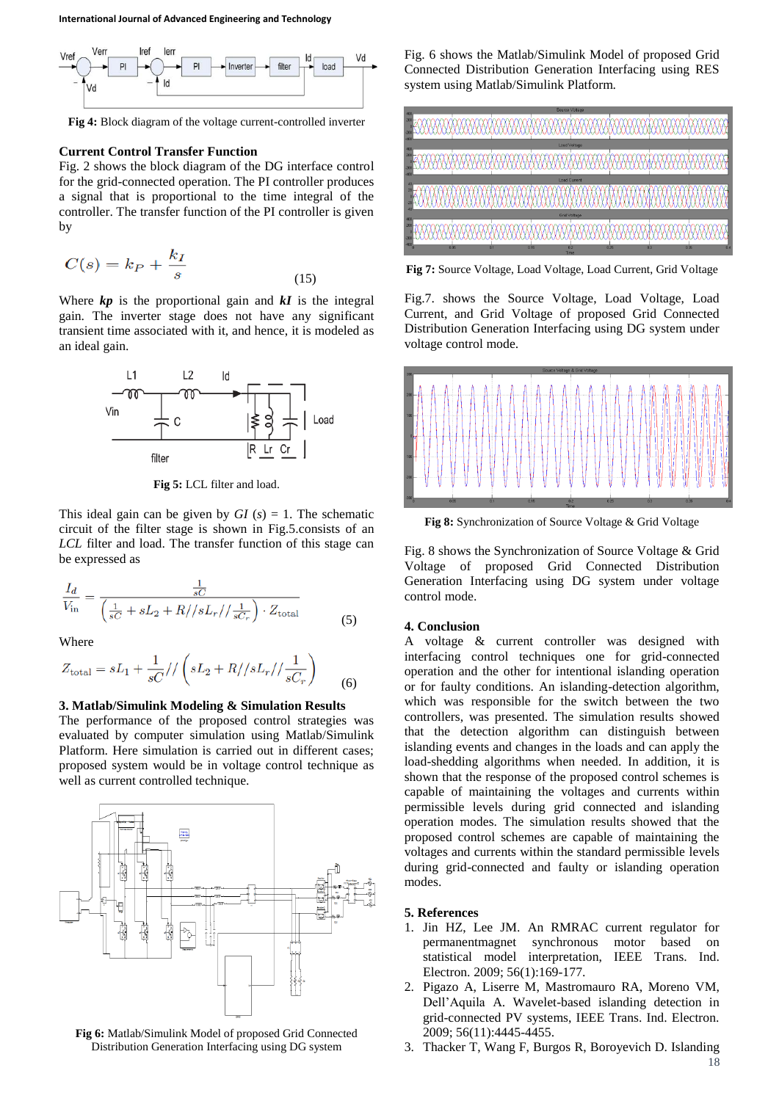

**Fig 4:** Block diagram of the voltage current-controlled inverter

## **Current Control Transfer Function**

Fig. 2 shows the block diagram of the DG interface control for the grid-connected operation. The PI controller produces a signal that is proportional to the time integral of the controller. The transfer function of the PI controller is given by

$$
C(s) = k_P + \frac{k_I}{s} \tag{15}
$$

Where *kp* is the proportional gain and *kI* is the integral gain. The inverter stage does not have any significant transient time associated with it, and hence, it is modeled as an ideal gain.



**Fig 5:** LCL filter and load.

This ideal gain can be given by  $GI(s) = 1$ . The schematic circuit of the filter stage is shown in Fig.5.consists of an *LCL* filter and load. The transfer function of this stage can be expressed as

$$
\frac{I_d}{V_{\text{in}}} = \frac{\frac{1}{sC}}{\left(\frac{1}{sC} + sL_2 + R//sL_r//\frac{1}{sC_r}\right) \cdot Z_{\text{total}}}
$$
\n(5)

Where

$$
Z_{\text{total}} = sL_1 + \frac{1}{sC} / / \left( sL_2 + R // sL_r / / \frac{1}{sC_r} \right)
$$
 (6)

## **3. Matlab/Simulink Modeling & Simulation Results**

The performance of the proposed control strategies was evaluated by computer simulation using Matlab/Simulink Platform. Here simulation is carried out in different cases; proposed system would be in voltage control technique as well as current controlled technique.



**Fig 6:** Matlab/Simulink Model of proposed Grid Connected Distribution Generation Interfacing using DG system

Fig. 6 shows the Matlab/Simulink Model of proposed Grid Connected Distribution Generation Interfacing using RES system using Matlab/Simulink Platform.



**Fig 7:** Source Voltage, Load Voltage, Load Current, Grid Voltage

Fig.7. shows the Source Voltage, Load Voltage, Load Current, and Grid Voltage of proposed Grid Connected Distribution Generation Interfacing using DG system under voltage control mode.



**Fig 8:** Synchronization of Source Voltage & Grid Voltage

Fig. 8 shows the Synchronization of Source Voltage & Grid Voltage of proposed Grid Connected Distribution Generation Interfacing using DG system under voltage control mode.

## **4. Conclusion**

A voltage & current controller was designed with interfacing control techniques one for grid-connected operation and the other for intentional islanding operation or for faulty conditions. An islanding-detection algorithm, which was responsible for the switch between the two controllers, was presented. The simulation results showed that the detection algorithm can distinguish between islanding events and changes in the loads and can apply the load-shedding algorithms when needed. In addition, it is shown that the response of the proposed control schemes is capable of maintaining the voltages and currents within permissible levels during grid connected and islanding operation modes. The simulation results showed that the proposed control schemes are capable of maintaining the voltages and currents within the standard permissible levels during grid-connected and faulty or islanding operation modes.

#### **5. References**

- 1. Jin HZ, Lee JM. An RMRAC current regulator for permanentmagnet synchronous motor based on statistical model interpretation, IEEE Trans. Ind. Electron. 2009; 56(1):169-177.
- 2. Pigazo A, Liserre M, Mastromauro RA, Moreno VM, Dell'Aquila A. Wavelet-based islanding detection in grid-connected PV systems, IEEE Trans. Ind. Electron. 2009; 56(11):4445-4455.
- 3. Thacker T, Wang F, Burgos R, Boroyevich D. Islanding